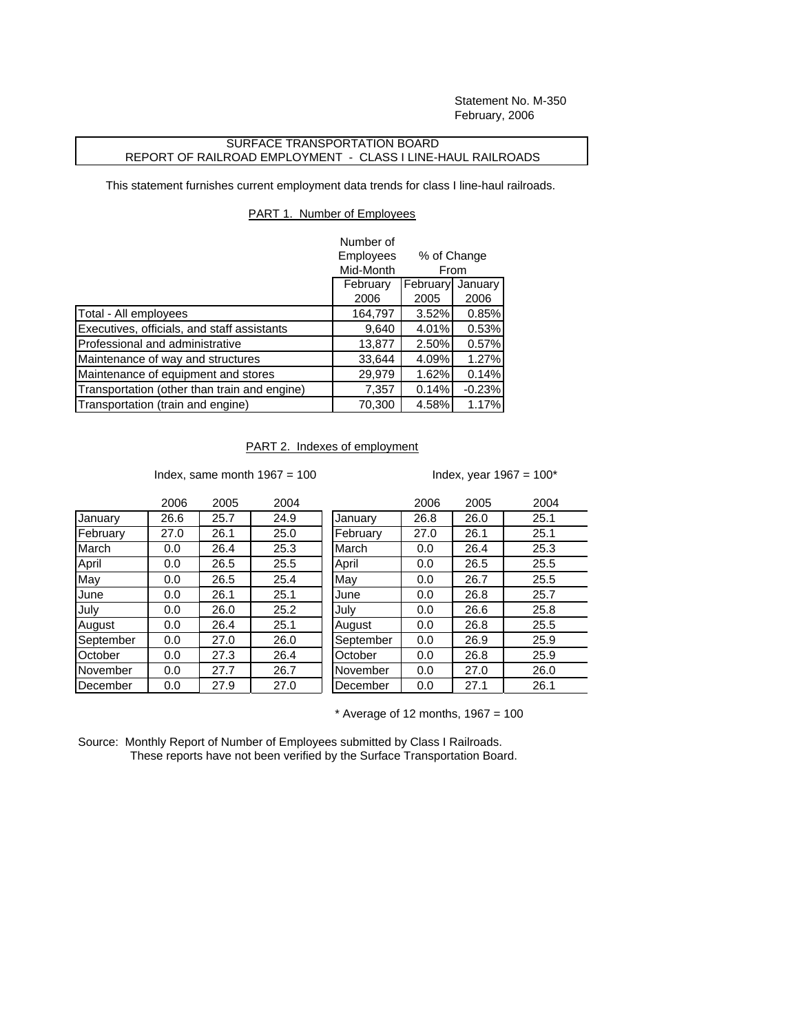Statement No. M-350 February, 2006

## SURFACE TRANSPORTATION BOARD REPORT OF RAILROAD EMPLOYMENT - CLASS I LINE-HAUL RAILROADS

This statement furnishes current employment data trends for class I line-haul railroads.

## PART 1. Number of Employees

|                                              | Number of<br>Employees<br>Mid-Month |          | % of Change<br>From |  |
|----------------------------------------------|-------------------------------------|----------|---------------------|--|
|                                              | February                            | February | January             |  |
|                                              | 2006                                | 2005     | 2006                |  |
| Total - All employees                        | 164,797                             | 3.52%    | 0.85%               |  |
| Executives, officials, and staff assistants  | 9,640                               | 4.01%    | 0.53%               |  |
| Professional and administrative              | 13,877                              | 2.50%    | 0.57%               |  |
| Maintenance of way and structures            | 33,644                              | 4.09%    | 1.27%               |  |
| Maintenance of equipment and stores          | 29,979                              | 1.62%    | 0.14%               |  |
| Transportation (other than train and engine) | 7,357                               | 0.14%    | $-0.23%$            |  |
| Transportation (train and engine)            | 70,300                              | 4.58%    | 1.17%               |  |

## PART 2. Indexes of employment

Index, same month  $1967 = 100$  Index, year  $1967 = 100^*$ 

|           | 2006 | 2005 | 2004 |           | 2006 | 2005 | 2004 |
|-----------|------|------|------|-----------|------|------|------|
| January   | 26.6 | 25.7 | 24.9 | January   | 26.8 | 26.0 | 25.1 |
| February  | 27.0 | 26.1 | 25.0 | February  | 27.0 | 26.1 | 25.1 |
| March     | 0.0  | 26.4 | 25.3 | March     | 0.0  | 26.4 | 25.3 |
| April     | 0.0  | 26.5 | 25.5 | April     | 0.0  | 26.5 | 25.5 |
| May       | 0.0  | 26.5 | 25.4 | May       | 0.0  | 26.7 | 25.5 |
| June      | 0.0  | 26.1 | 25.1 | June      | 0.0  | 26.8 | 25.7 |
| July      | 0.0  | 26.0 | 25.2 | July      | 0.0  | 26.6 | 25.8 |
| August    | 0.0  | 26.4 | 25.1 | August    | 0.0  | 26.8 | 25.5 |
| September | 0.0  | 27.0 | 26.0 | September | 0.0  | 26.9 | 25.9 |
| October   | 0.0  | 27.3 | 26.4 | October   | 0.0  | 26.8 | 25.9 |
| November  | 0.0  | 27.7 | 26.7 | November  | 0.0  | 27.0 | 26.0 |
| December  | 0.0  | 27.9 | 27.0 | December  | 0.0  | 27.1 | 26.1 |

| 2006 | 2005 | 2004 |           | 2006 | 2005 | 2004 |
|------|------|------|-----------|------|------|------|
| 26.6 | 25.7 | 24.9 | January   | 26.8 | 26.0 | 25.1 |
| 27.0 | 26.1 | 25.0 | February  | 27.0 | 26.1 | 25.1 |
| 0.0  | 26.4 | 25.3 | March     | 0.0  | 26.4 | 25.3 |
| 0.0  | 26.5 | 25.5 | April     | 0.0  | 26.5 | 25.5 |
| 0.0  | 26.5 | 25.4 | May       | 0.0  | 26.7 | 25.5 |
| 0.0  | 26.1 | 25.1 | June      | 0.0  | 26.8 | 25.7 |
| 0.0  | 26.0 | 25.2 | July      | 0.0  | 26.6 | 25.8 |
| 0.0  | 26.4 | 25.1 | August    | 0.0  | 26.8 | 25.5 |
| 0.0  | 27.0 | 26.0 | September | 0.0  | 26.9 | 25.9 |
| 0.0  | 27.3 | 26.4 | October   | 0.0  | 26.8 | 25.9 |
| 0.0  | 27.7 | 26.7 | November  | 0.0  | 27.0 | 26.0 |
| 0.0  | 27.9 | 27.0 | December  | 0.0  | 27.1 | 26.1 |
|      |      |      |           |      |      |      |

 $*$  Average of 12 months, 1967 = 100

Source: Monthly Report of Number of Employees submitted by Class I Railroads. These reports have not been verified by the Surface Transportation Board.